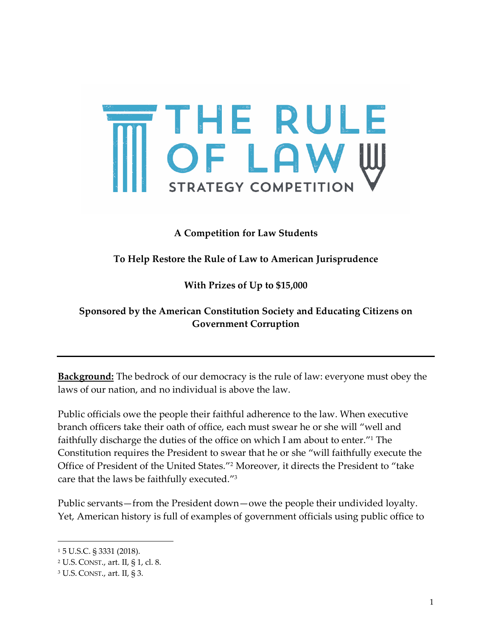

## **A Competition for Law Students**

## **To Help Restore the Rule of Law to American Jurisprudence**

## **With Prizes of Up to \$15,000**

## **Sponsored by the American Constitution Society and Educating Citizens on Government Corruption**

**Background:** The bedrock of our democracy is the rule of law: everyone must obey the laws of our nation, and no individual is above the law.

Public officials owe the people their faithful adherence to the law. When executive branch officers take their oath of office, each must swear he or she will "well and faithfully discharge the duties of the office on which I am about to enter."1 The Constitution requires the President to swear that he or she "will faithfully execute the Office of President of the United States."2 Moreover, it directs the President to "take care that the laws be faithfully executed."3

Public servants—from the President down—owe the people their undivided loyalty. Yet, American history is full of examples of government officials using public office to

 $\overline{\phantom{a}}$ 

<sup>1</sup> 5 U.S.C. § 3331 (2018).

<sup>2</sup> U.S. CONST., art. II, § 1, cl. 8.

<sup>3</sup> U.S. CONST., art. II, § 3.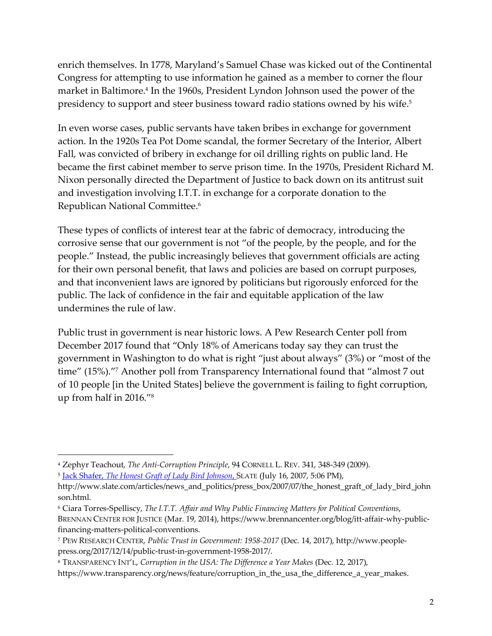enrich themselves. In 1778, Maryland's Samuel Chase was kicked out of the Continental Congress for attempting to use information he gained as a member to corner the flour market in Baltimore.<sup>4</sup> In the 1960s, President Lyndon Johnson used the power of the presidency to support and steer business toward radio stations owned by his wife.5

In even worse cases, public servants have taken bribes in exchange for government action. In the 1920s Tea Pot Dome scandal, the former Secretary of the Interior, Albert Fall, was convicted of bribery in exchange for oil drilling rights on public land. He became the first cabinet member to serve prison time. In the 1970s, President Richard M. Nixon personally directed the Department of Justice to back down on its antitrust suit and investigation involving I.T.T. in exchange for a corporate donation to the Republican National Committee.6

These types of conflicts of interest tear at the fabric of democracy, introducing the corrosive sense that our government is not "of the people, by the people, and for the people." Instead, the public increasingly believes that government officials are acting for their own personal benefit, that laws and policies are based on corrupt purposes, and that inconvenient laws are ignored by politicians but rigorously enforced for the public. The lack of confidence in the fair and equitable application of the law undermines the rule of law.

Public trust in government is near historic lows. A Pew Research Center poll from December 2017 found that "Only 18% of Americans today say they can trust the government in Washington to do what is right "just about always" (3%) or "most of the time" (15%)."7 Another poll from Transparency International found that "almost 7 out of 10 people [in the United States] believe the government is failing to fight corruption, up from half in 2016."8

<sup>4</sup> Zephyr Teachout, *The Anti-Corruption Principle*, 94 CORNELL L. REV. 341, 348-349 (2009).

<sup>5</sup> Jack Shafer, *The Honest Graft of Lady Bird Johnson*, SLATE (July 16, 2007, 5:06 PM),

http://www.slate.com/articles/news\_and\_politics/press\_box/2007/07/the\_honest\_graft\_of\_lady\_bird\_john son.html.

<sup>6</sup> Ciara Torres-Spelliscy, *The I.T.T. Affair and Why Public Financing Matters for Political Conventions*, BRENNAN CENTER FOR JUSTICE (Mar. 19, 2014), https://www.brennancenter.org/blog/itt-affair-why-publicfinancing-matters-political-conventions.

<sup>7</sup> PEW RESEARCH CENTER, *Public Trust in Government: 1958-2017* (Dec. 14, 2017), http://www.peoplepress.org/2017/12/14/public-trust-in-government-1958-2017/.

<sup>8</sup> TRANSPARENCY INT'L, *Corruption in the USA: The Difference a Year Makes* (Dec. 12, 2017),

https://www.transparency.org/news/feature/corruption\_in\_the\_usa\_the\_difference\_a\_year\_makes.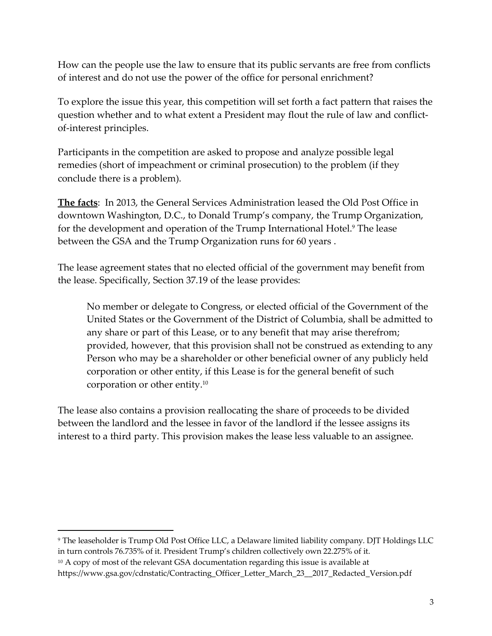How can the people use the law to ensure that its public servants are free from conflicts of interest and do not use the power of the office for personal enrichment?

To explore the issue this year, this competition will set forth a fact pattern that raises the question whether and to what extent a President may flout the rule of law and conflictof-interest principles.

Participants in the competition are asked to propose and analyze possible legal remedies (short of impeachment or criminal prosecution) to the problem (if they conclude there is a problem).

**The facts**: In 2013, the General Services Administration leased the Old Post Office in downtown Washington, D.C., to Donald Trump's company, the Trump Organization, for the development and operation of the Trump International Hotel.9 The lease between the GSA and the Trump Organization runs for 60 years .

The lease agreement states that no elected official of the government may benefit from the lease. Specifically, Section 37.19 of the lease provides:

No member or delegate to Congress, or elected official of the Government of the United States or the Government of the District of Columbia, shall be admitted to any share or part of this Lease, or to any benefit that may arise therefrom; provided, however, that this provision shall not be construed as extending to any Person who may be a shareholder or other beneficial owner of any publicly held corporation or other entity, if this Lease is for the general benefit of such corporation or other entity.10

The lease also contains a provision reallocating the share of proceeds to be divided between the landlord and the lessee in favor of the landlord if the lessee assigns its interest to a third party. This provision makes the lease less valuable to an assignee.

 $\overline{a}$ 

<sup>9</sup> The leaseholder is Trump Old Post Office LLC, a Delaware limited liability company. DJT Holdings LLC in turn controls 76.735% of it. President Trump's children collectively own 22.275% of it.

<sup>&</sup>lt;sup>10</sup> A copy of most of the relevant GSA documentation regarding this issue is available at

https://www.gsa.gov/cdnstatic/Contracting\_Officer\_Letter\_March\_23\_\_2017\_Redacted\_Version.pdf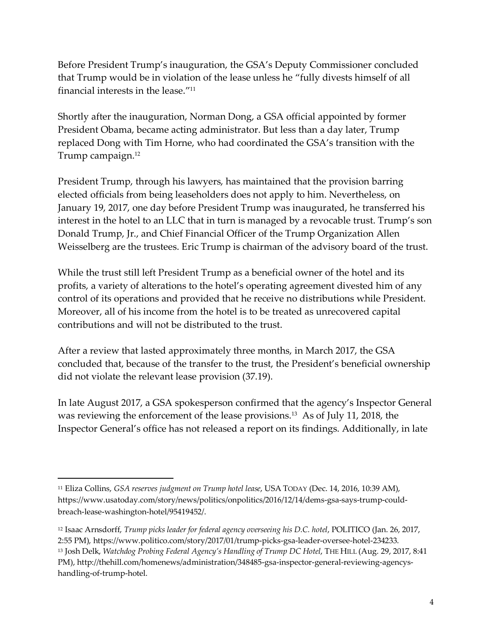Before President Trump's inauguration, the GSA's Deputy Commissioner concluded that Trump would be in violation of the lease unless he "fully divests himself of all financial interests in the lease."11

Shortly after the inauguration, Norman Dong, a GSA official appointed by former President Obama, became acting administrator. But less than a day later, Trump replaced Dong with Tim Horne, who had coordinated the GSA's transition with the Trump campaign.12

President Trump, through his lawyers, has maintained that the provision barring elected officials from being leaseholders does not apply to him. Nevertheless, on January 19, 2017, one day before President Trump was inaugurated, he transferred his interest in the hotel to an LLC that in turn is managed by a revocable trust. Trump's son Donald Trump, Jr., and Chief Financial Officer of the Trump Organization Allen Weisselberg are the trustees. Eric Trump is chairman of the advisory board of the trust.

While the trust still left President Trump as a beneficial owner of the hotel and its profits, a variety of alterations to the hotel's operating agreement divested him of any control of its operations and provided that he receive no distributions while President. Moreover, all of his income from the hotel is to be treated as unrecovered capital contributions and will not be distributed to the trust.

After a review that lasted approximately three months, in March 2017, the GSA concluded that, because of the transfer to the trust, the President's beneficial ownership did not violate the relevant lease provision (37.19).

In late August 2017, a GSA spokesperson confirmed that the agency's Inspector General was reviewing the enforcement of the lease provisions.13 As of July 11, 2018, the Inspector General's office has not released a report on its findings. Additionally, in late

<sup>11</sup> Eliza Collins, *GSA reserves judgment on Trump hotel lease*, USA TODAY (Dec. 14, 2016, 10:39 AM), https://www.usatoday.com/story/news/politics/onpolitics/2016/12/14/dems-gsa-says-trump-couldbreach-lease-washington-hotel/95419452/.

<sup>12</sup> Isaac Arnsdorff, *Trump picks leader for federal agency overseeing his D.C. hotel*, POLITICO (Jan. 26, 2017, 2:55 PM), https://www.politico.com/story/2017/01/trump-picks-gsa-leader-oversee-hotel-234233. <sup>13</sup> Josh Delk, *Watchdog Probing Federal Agency's Handling of Trump DC Hotel*, THE HILL (Aug. 29, 2017, 8:41 PM), http://thehill.com/homenews/administration/348485-gsa-inspector-general-reviewing-agencyshandling-of-trump-hotel.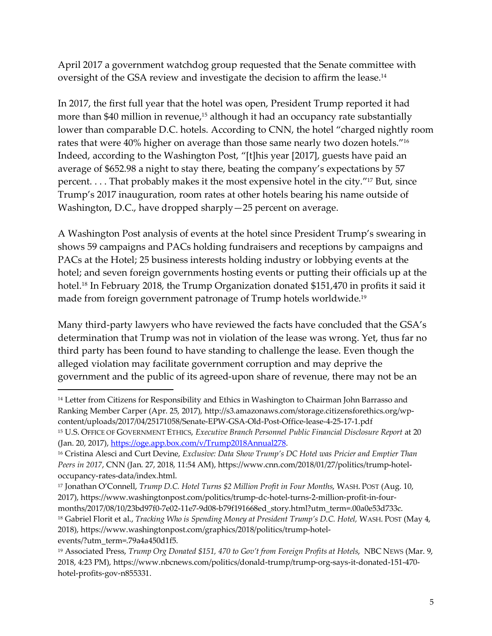April 2017 a government watchdog group requested that the Senate committee with oversight of the GSA review and investigate the decision to affirm the lease.14

In 2017, the first full year that the hotel was open, President Trump reported it had more than \$40 million in revenue, <sup>15</sup> although it had an occupancy rate substantially lower than comparable D.C. hotels. According to CNN, the hotel "charged nightly room rates that were 40% higher on average than those same nearly two dozen hotels."16 Indeed, according to the Washington Post, "[t]his year [2017], guests have paid an average of \$652.98 a night to stay there, beating the company's expectations by 57 percent. . . . That probably makes it the most expensive hotel in the city."17 But, since Trump's 2017 inauguration, room rates at other hotels bearing his name outside of Washington, D.C., have dropped sharply—25 percent on average.

A Washington Post analysis of events at the hotel since President Trump's swearing in shows 59 campaigns and PACs holding fundraisers and receptions by campaigns and PACs at the Hotel; 25 business interests holding industry or lobbying events at the hotel; and seven foreign governments hosting events or putting their officials up at the hotel.<sup>18</sup> In February 2018, the Trump Organization donated \$151,470 in profits it said it made from foreign government patronage of Trump hotels worldwide.19

Many third-party lawyers who have reviewed the facts have concluded that the GSA's determination that Trump was not in violation of the lease was wrong. Yet, thus far no third party has been found to have standing to challenge the lease. Even though the alleged violation may facilitate government corruption and may deprive the government and the public of its agreed-upon share of revenue, there may not be an

 $\overline{a}$ 

<sup>&</sup>lt;sup>14</sup> Letter from Citizens for Responsibility and Ethics in Washington to Chairman John Barrasso and Ranking Member Carper (Apr. 25, 2017), http://s3.amazonaws.com/storage.citizensforethics.org/wpcontent/uploads/2017/04/25171058/Senate-EPW-GSA-Old-Post-Office-lease-4-25-17-1.pdf

<sup>15</sup> U.S. OFFICE OF GOVERNMENT ETHICS, *Executive Branch Personnel Public Financial Disclosure Report* at 20 (Jan. 20, 2017), https://oge.app.box.com/v/Trump2018Annual278.

<sup>16</sup> Cristina Alesci and Curt Devine, *Exclusive: Data Show Trump's DC Hotel was Pricier and Emptier Than Peers in 2017*, CNN (Jan. 27, 2018, 11:54 AM), https://www.cnn.com/2018/01/27/politics/trump-hoteloccupancy-rates-data/index.html.

<sup>17</sup> Jonathan O'Connell, *Trump D.C. Hotel Turns \$2 Million Profit in Four Months*, WASH. POST (Aug. 10, 2017), https://www.washingtonpost.com/politics/trump-dc-hotel-turns-2-million-profit-in-fourmonths/2017/08/10/23bd97f0-7e02-11e7-9d08-b79f191668ed\_story.html?utm\_term=.00a0e53d733c.

<sup>&</sup>lt;sup>18</sup> Gabriel Florit et al., *Tracking Who is Spending Money at President Trump's D.C. Hotel, WASH. POST (May 4,* 2018), https://www.washingtonpost.com/graphics/2018/politics/trump-hotelevents/?utm\_term=.79a4a450d1f5.

<sup>&</sup>lt;sup>19</sup> Associated Press, *Trump Org Donated \$151, 470 to Gov't from Foreign Profits at Hotels*, NBC NEWS (Mar. 9, 2018, 4:23 PM), https://www.nbcnews.com/politics/donald-trump/trump-org-says-it-donated-151-470 hotel-profits-gov-n855331.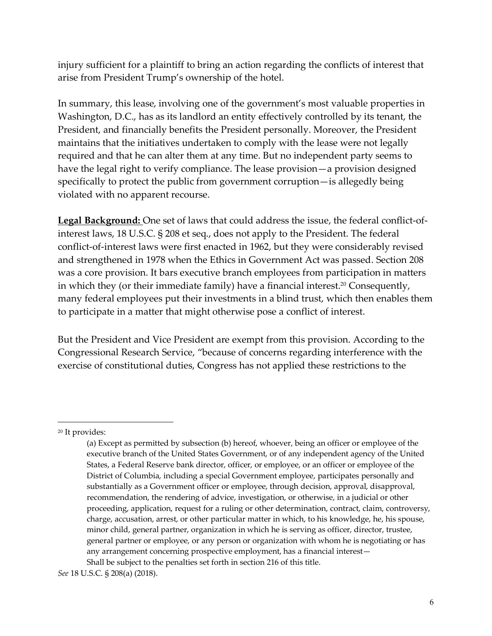injury sufficient for a plaintiff to bring an action regarding the conflicts of interest that arise from President Trump's ownership of the hotel.

In summary, this lease, involving one of the government's most valuable properties in Washington, D.C., has as its landlord an entity effectively controlled by its tenant, the President, and financially benefits the President personally. Moreover, the President maintains that the initiatives undertaken to comply with the lease were not legally required and that he can alter them at any time. But no independent party seems to have the legal right to verify compliance. The lease provision—a provision designed specifically to protect the public from government corruption—is allegedly being violated with no apparent recourse.

**Legal Background:** One set of laws that could address the issue, the federal conflict-ofinterest laws, 18 U.S.C. § 208 et seq., does not apply to the President. The federal conflict-of-interest laws were first enacted in 1962, but they were considerably revised and strengthened in 1978 when the Ethics in Government Act was passed. Section 208 was a core provision. It bars executive branch employees from participation in matters in which they (or their immediate family) have a financial interest.<sup>20</sup> Consequently, many federal employees put their investments in a blind trust, which then enables them to participate in a matter that might otherwise pose a conflict of interest.

But the President and Vice President are exempt from this provision. According to the Congressional Research Service, "because of concerns regarding interference with the exercise of constitutional duties, Congress has not applied these restrictions to the

<sup>20</sup> It provides:

<sup>(</sup>a) Except as permitted by subsection (b) hereof, whoever, being an officer or employee of the executive branch of the United States Government, or of any independent agency of the United States, a Federal Reserve bank director, officer, or employee, or an officer or employee of the District of Columbia, including a special Government employee, participates personally and substantially as a Government officer or employee, through decision, approval, disapproval, recommendation, the rendering of advice, investigation, or otherwise, in a judicial or other proceeding, application, request for a ruling or other determination, contract, claim, controversy, charge, accusation, arrest, or other particular matter in which, to his knowledge, he, his spouse, minor child, general partner, organization in which he is serving as officer, director, trustee, general partner or employee, or any person or organization with whom he is negotiating or has any arrangement concerning prospective employment, has a financial interest— Shall be subject to the penalties set forth in section 216 of this title.

*See* 18 U.S.C. § 208(a) (2018).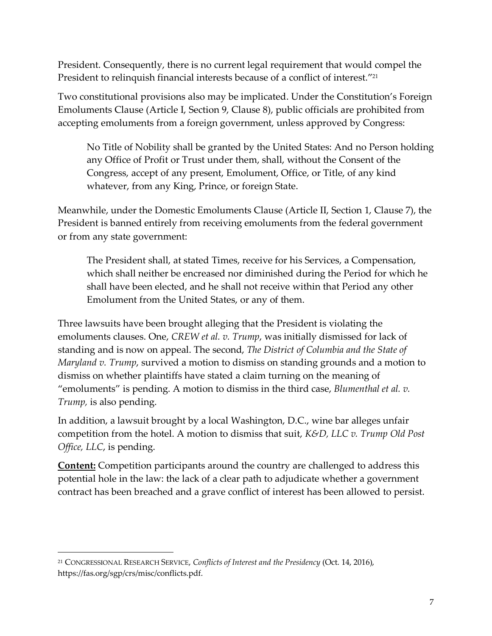President. Consequently, there is no current legal requirement that would compel the President to relinquish financial interests because of a conflict of interest."<sup>21</sup>

Two constitutional provisions also may be implicated. Under the Constitution's Foreign Emoluments Clause (Article I, Section 9, Clause 8), public officials are prohibited from accepting emoluments from a foreign government, unless approved by Congress:

No Title of Nobility shall be granted by the United States: And no Person holding any Office of Profit or Trust under them, shall, without the Consent of the Congress, accept of any present, Emolument, Office, or Title, of any kind whatever, from any King, Prince, or foreign State.

Meanwhile, under the Domestic Emoluments Clause (Article II, Section 1, Clause 7), the President is banned entirely from receiving emoluments from the federal government or from any state government:

The President shall, at stated Times, receive for his Services, a Compensation, which shall neither be encreased nor diminished during the Period for which he shall have been elected, and he shall not receive within that Period any other Emolument from the United States, or any of them.

Three lawsuits have been brought alleging that the President is violating the emoluments clauses. One, *CREW et al. v. Trump*, was initially dismissed for lack of standing and is now on appeal. The second, *The District of Columbia and the State of Maryland v. Trump*, survived a motion to dismiss on standing grounds and a motion to dismiss on whether plaintiffs have stated a claim turning on the meaning of "emoluments" is pending. A motion to dismiss in the third case, *Blumenthal et al. v. Trump,* is also pending.

In addition, a lawsuit brought by a local Washington, D.C., wine bar alleges unfair competition from the hotel. A motion to dismiss that suit, *K&D, LLC v. Trump Old Post Office, LLC*, is pending.

**Content:** Competition participants around the country are challenged to address this potential hole in the law: the lack of a clear path to adjudicate whether a government contract has been breached and a grave conflict of interest has been allowed to persist.

<sup>21</sup> CONGRESSIONAL RESEARCH SERVICE, *Conflicts of Interest and the Presidency* (Oct. 14, 2016), https://fas.org/sgp/crs/misc/conflicts.pdf.